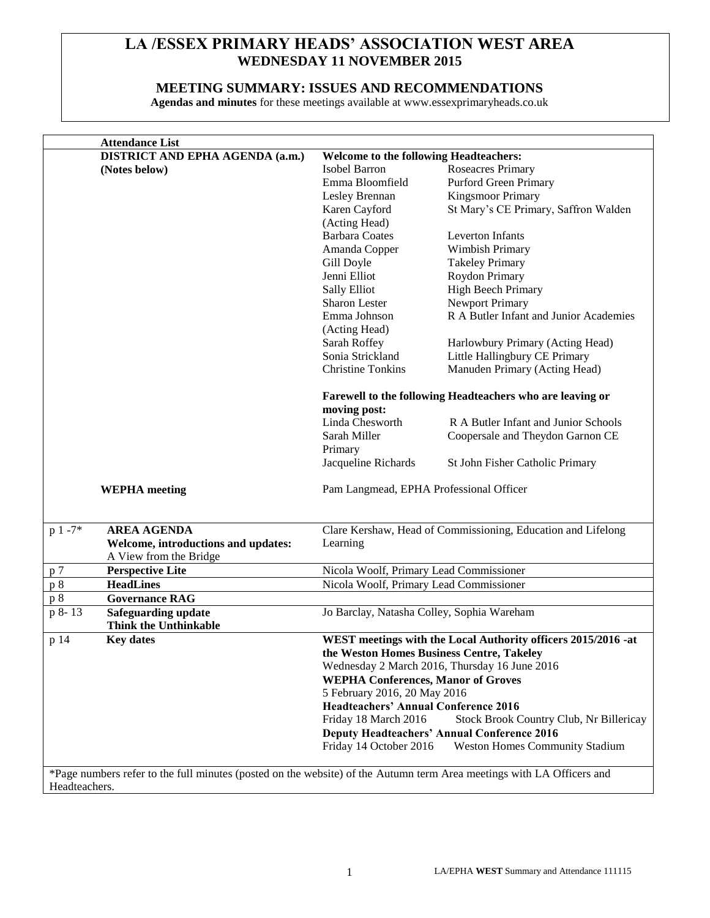# **LA /ESSEX PRIMARY HEADS' ASSOCIATION WEST AREA WEDNESDAY 11 NOVEMBER 2015**

## **MEETING SUMMARY: ISSUES AND RECOMMENDATIONS**

**Agendas and minutes** for these meetings available at www.essexprimaryheads.co.uk

|               | <b>Attendance List</b>                                                                                                |                                                                                            |                                                              |  |
|---------------|-----------------------------------------------------------------------------------------------------------------------|--------------------------------------------------------------------------------------------|--------------------------------------------------------------|--|
|               | DISTRICT AND EPHA AGENDA (a.m.)                                                                                       | <b>Welcome to the following Headteachers:</b>                                              |                                                              |  |
|               | (Notes below)                                                                                                         | Isobel Barron                                                                              | Roseacres Primary                                            |  |
|               |                                                                                                                       | Emma Bloomfield                                                                            | Purford Green Primary                                        |  |
|               |                                                                                                                       | Lesley Brennan                                                                             | <b>Kingsmoor Primary</b>                                     |  |
|               |                                                                                                                       | Karen Cayford                                                                              | St Mary's CE Primary, Saffron Walden                         |  |
|               |                                                                                                                       | (Acting Head)                                                                              |                                                              |  |
|               |                                                                                                                       | <b>Barbara Coates</b>                                                                      | Leverton Infants                                             |  |
|               |                                                                                                                       | Amanda Copper                                                                              | Wimbish Primary                                              |  |
|               |                                                                                                                       | Gill Doyle                                                                                 | <b>Takeley Primary</b>                                       |  |
|               |                                                                                                                       | Jenni Elliot                                                                               | Roydon Primary                                               |  |
|               |                                                                                                                       | Sally Elliot                                                                               | High Beech Primary                                           |  |
|               |                                                                                                                       | Sharon Lester                                                                              | <b>Newport Primary</b>                                       |  |
|               |                                                                                                                       | Emma Johnson                                                                               | R A Butler Infant and Junior Academies                       |  |
|               |                                                                                                                       | (Acting Head)                                                                              |                                                              |  |
|               |                                                                                                                       | Sarah Roffey                                                                               | Harlowbury Primary (Acting Head)                             |  |
|               |                                                                                                                       | Sonia Strickland                                                                           | Little Hallingbury CE Primary                                |  |
|               |                                                                                                                       | <b>Christine Tonkins</b>                                                                   | Manuden Primary (Acting Head)                                |  |
|               |                                                                                                                       |                                                                                            |                                                              |  |
|               |                                                                                                                       | Farewell to the following Headteachers who are leaving or                                  |                                                              |  |
|               |                                                                                                                       | moving post:                                                                               |                                                              |  |
|               |                                                                                                                       | Linda Chesworth                                                                            | R A Butler Infant and Junior Schools                         |  |
|               |                                                                                                                       | Sarah Miller                                                                               | Coopersale and Theydon Garnon CE                             |  |
|               |                                                                                                                       | Primary                                                                                    |                                                              |  |
|               |                                                                                                                       | Jacqueline Richards                                                                        | St John Fisher Catholic Primary                              |  |
|               |                                                                                                                       |                                                                                            |                                                              |  |
|               | <b>WEPHA</b> meeting                                                                                                  | Pam Langmead, EPHA Professional Officer                                                    |                                                              |  |
| $p 1 - 7*$    | <b>AREA AGENDA</b>                                                                                                    |                                                                                            | Clare Kershaw, Head of Commissioning, Education and Lifelong |  |
|               | Welcome, introductions and updates:                                                                                   | Learning                                                                                   |                                                              |  |
|               | A View from the Bridge                                                                                                |                                                                                            |                                                              |  |
| p 7           | <b>Perspective Lite</b>                                                                                               |                                                                                            |                                                              |  |
| p 8           | <b>HeadLines</b>                                                                                                      | Nicola Woolf, Primary Lead Commissioner<br>Nicola Woolf, Primary Lead Commissioner         |                                                              |  |
|               | <b>Governance RAG</b>                                                                                                 |                                                                                            |                                                              |  |
| p 8           |                                                                                                                       |                                                                                            |                                                              |  |
| p 8-13        | <b>Safeguarding update</b><br><b>Think the Unthinkable</b>                                                            | Jo Barclay, Natasha Colley, Sophia Wareham                                                 |                                                              |  |
| p 14          | <b>Key dates</b>                                                                                                      | WEST meetings with the Local Authority officers 2015/2016 -at                              |                                                              |  |
|               |                                                                                                                       | the Weston Homes Business Centre, Takeley                                                  |                                                              |  |
|               |                                                                                                                       | Wednesday 2 March 2016, Thursday 16 June 2016<br><b>WEPHA Conferences, Manor of Groves</b> |                                                              |  |
|               |                                                                                                                       |                                                                                            |                                                              |  |
|               |                                                                                                                       | 5 February 2016, 20 May 2016                                                               |                                                              |  |
|               |                                                                                                                       | <b>Headteachers' Annual Conference 2016</b>                                                |                                                              |  |
|               |                                                                                                                       | Friday 18 March 2016<br>Stock Brook Country Club, Nr Billericay                            |                                                              |  |
|               |                                                                                                                       | <b>Deputy Headteachers' Annual Conference 2016</b>                                         |                                                              |  |
|               |                                                                                                                       | Friday 14 October 2016                                                                     | <b>Weston Homes Community Stadium</b>                        |  |
|               |                                                                                                                       |                                                                                            |                                                              |  |
|               | *Page numbers refer to the full minutes (posted on the website) of the Autumn term Area meetings with LA Officers and |                                                                                            |                                                              |  |
| Headteachers. |                                                                                                                       |                                                                                            |                                                              |  |
|               |                                                                                                                       |                                                                                            |                                                              |  |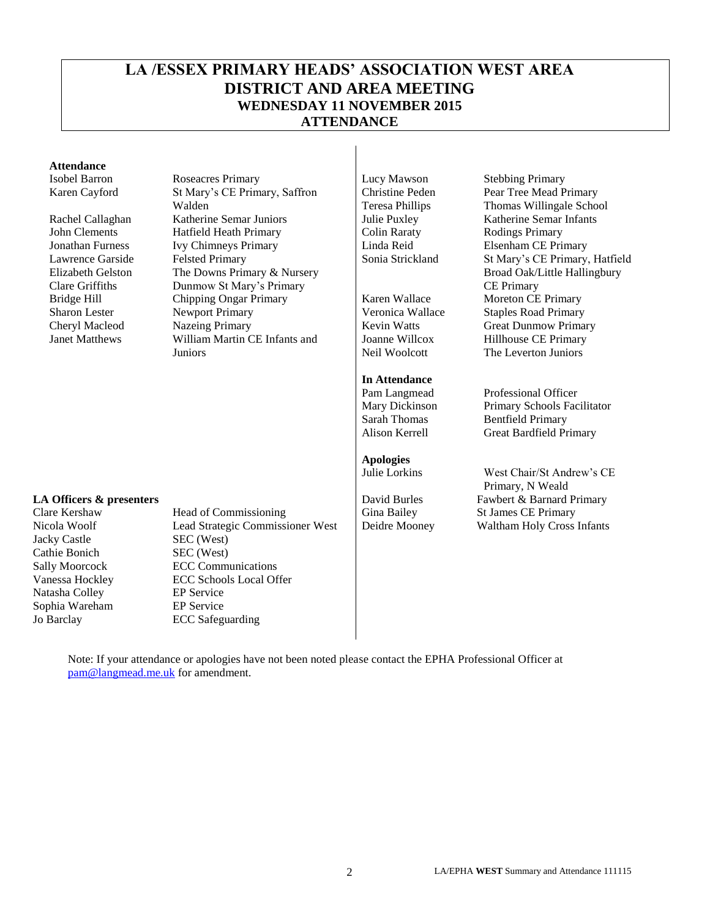# **LA /ESSEX PRIMARY HEADS' ASSOCIATION WEST AREA DISTRICT AND AREA MEETING WEDNESDAY 11 NOVEMBER 2015 ATTENDANCE**

#### **Attendance**

Lawrence Garside Elizabeth Gelston Clare Griffiths

Isobel Barron Roseacres Primary Lucy Mawson Stebbing Primary Karen Cayford St Mary's CE Primary, Saffron Walden Rachel Callaghan Katherine Semar Juniors Julie Puxley John Clements Hatfield Heath Primary Colin Raraty Rodings Primary Jonathan Furness Ivy Chimneys Primary Linda Reid Elsenham CE Primary Felsted Primary The Downs Primary & Nursery Dunmow St Mary's Primary Bridge Hill Chipping Ongar Primary Karen Wallace Moreton CE Primary Sharon Lester Mewport Primary News (Veronica Wallace Staples Road Primary Cheryl Macleod Nazeing Primary Kevin Watts (Veronica Wallace Staples Road Primary Cheryl Macleod Nazeing Primary Kevin Watts (Veronica Wallace Stapl Cheryl Macleod Mazeing Primary <br>
Lanet Matthews William Martin CE Infants and Joanne Willcox Hillhouse CE Primary William Martin CE Infants and Juniors

Christine Peden Teresa Phillips

Joanne Willcox Neil Woolcott

**In Attendance**

**Apologies**

Pear Tree Mead Primary Thomas Willingale School Sonia Strickland St Mary's CE Primary, Hatfield Broad Oak/Little Hallingbury CE Primary Hillhouse CE Primary The Leverton Juniors

Pam Langmead Professional Officer Mary Dickinson Primary Schools Facilitator Sarah Thomas Bentfield Primary Alison Kerrell Great Bardfield Primary

West Chair/St Andrew's CE Primary, N Weald **LA Officers & presenters b presenters c properties David Burles** Fawbert & Barnard Primary

Jacky Castle SEC (West) Cathie Bonich SEC (West) Natasha Colley EP Service Sophia Wareham EP Service<br>
Jo Barclay ECC Safegu

Clare Kershaw Head of Commissioning Gina Bailey St James CE Primary Nicola Woolf Lead Strategic Commissioner West Deidre Mooney Waltham Holy Cross Infants Sally Moorcock ECC Communications Vanessa Hockley ECC Schools Local Offer **ECC** Safeguarding

Note: If your attendance or apologies have not been noted please contact the EPHA Professional Officer at [pam@langmead.me.uk](mailto:pam@langmead.me.uk) for amendment.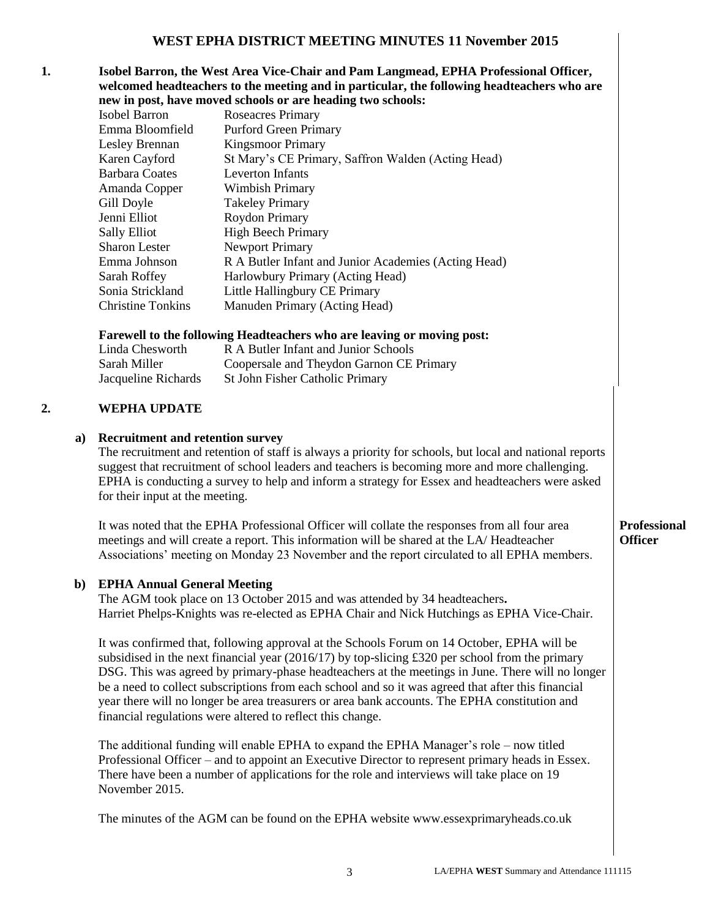### **1. Isobel Barron, the West Area Vice-Chair and Pam Langmead, EPHA Professional Officer, welcomed headteachers to the meeting and in particular, the following headteachers who are new in post, have moved schools or are heading two schools:**

|                       | $\mathbf{m}$ , $\mathbf{m}$ post $\mathbf{m}$ , and the sensors of $\mathbf{m}$ from $\mathbf{m}$ and $\mathbf{m}$ |
|-----------------------|--------------------------------------------------------------------------------------------------------------------|
| Isobel Barron         | Roseacres Primary                                                                                                  |
| Emma Bloomfield       | <b>Purford Green Primary</b>                                                                                       |
| Lesley Brennan        | <b>Kingsmoor Primary</b>                                                                                           |
| Karen Cayford         | St Mary's CE Primary, Saffron Walden (Acting Head)                                                                 |
| <b>Barbara Coates</b> | Leverton Infants                                                                                                   |
| Amanda Copper         | Wimbish Primary                                                                                                    |
| Gill Doyle            | <b>Takeley Primary</b>                                                                                             |
| Jenni Elliot          | Roydon Primary                                                                                                     |
| Sally Elliot          | <b>High Beech Primary</b>                                                                                          |
| <b>Sharon Lester</b>  | <b>Newport Primary</b>                                                                                             |
| Emma Johnson          | R A Butler Infant and Junior Academies (Acting Head)                                                               |
| Sarah Roffey          | Harlowbury Primary (Acting Head)                                                                                   |
| Sonia Strickland      | Little Hallingbury CE Primary                                                                                      |
| Christine Tonkins     | Manuden Primary (Acting Head)                                                                                      |
|                       |                                                                                                                    |

#### **Farewell to the following Headteachers who are leaving or moving post:**

| Linda Chesworth     | R A Butler Infant and Junior Schools     |
|---------------------|------------------------------------------|
| Sarah Miller        | Coopersale and Theydon Garnon CE Primary |
| Jacqueline Richards | <b>St John Fisher Catholic Primary</b>   |

#### **2. WEPHA UPDATE**

### **a) Recruitment and retention survey**

The recruitment and retention of staff is always a priority for schools, but local and national reports suggest that recruitment of school leaders and teachers is becoming more and more challenging. EPHA is conducting a survey to help and inform a strategy for Essex and headteachers were asked for their input at the meeting.

It was noted that the EPHA Professional Officer will collate the responses from all four area meetings and will create a report. This information will be shared at the LA/ Headteacher Associations' meeting on Monday 23 November and the report circulated to all EPHA members.

### **b) EPHA Annual General Meeting**

The AGM took place on 13 October 2015 and was attended by 34 headteachers**.**  Harriet Phelps-Knights was re-elected as EPHA Chair and Nick Hutchings as EPHA Vice-Chair.

It was confirmed that, following approval at the Schools Forum on 14 October, EPHA will be subsidised in the next financial year (2016/17) by top-slicing £320 per school from the primary DSG. This was agreed by primary-phase headteachers at the meetings in June. There will no longer be a need to collect subscriptions from each school and so it was agreed that after this financial year there will no longer be area treasurers or area bank accounts. The EPHA constitution and financial regulations were altered to reflect this change.

The additional funding will enable EPHA to expand the EPHA Manager's role – now titled Professional Officer – and to appoint an Executive Director to represent primary heads in Essex. There have been a number of applications for the role and interviews will take place on 19 November 2015.

The minutes of the AGM can be found on the EPHA website www.essexprimaryheads.co.uk

### **Professional Officer**